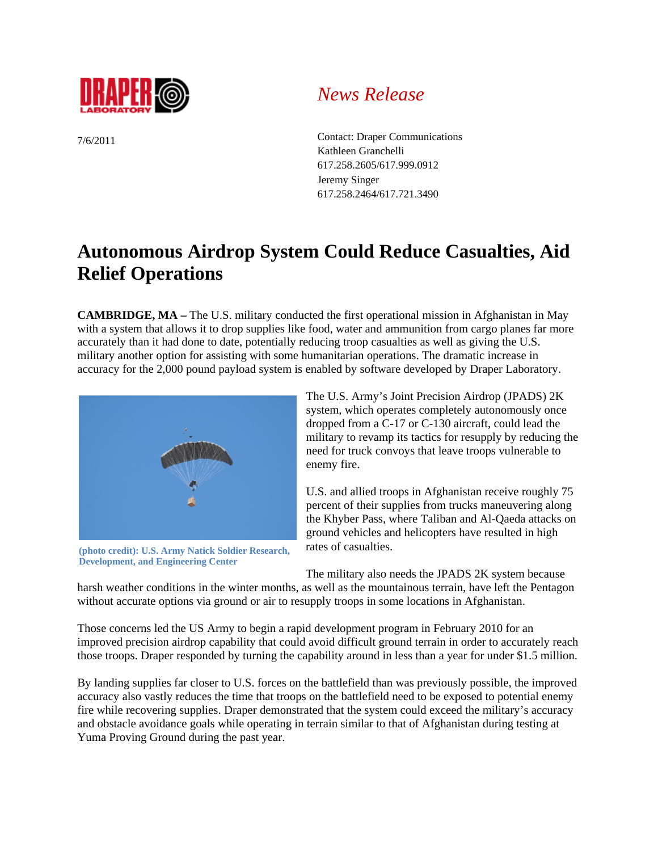

7/6/2011

## *News Release*

Contact: Draper Communications Kathleen Granchelli 617.258.2605/617.999.0912 Jeremy Singer 617.258.2464/617.721.3490

## **Autonomous Airdrop System Could Reduce Casualties, Aid Relief Operations**

**CAMBRIDGE, MA –** The U.S. military conducted the first operational mission in Afghanistan in May with a system that allows it to drop supplies like food, water and ammunition from cargo planes far more accurately than it had done to date, potentially reducing troop casualties as well as giving the U.S. military another option for assisting with some humanitarian operations. The dramatic increase in accuracy for the 2,000 pound payload system is enabled by software developed by Draper Laboratory.



**(photo credit): U.S. Army Natick Soldier Research, Development, and Engineering Center** 

The U.S. Army's Joint Precision Airdrop (JPADS) 2K system, which operates completely autonomously once dropped from a C-17 or C-130 aircraft, could lead the military to revamp its tactics for resupply by reducing the need for truck convoys that leave troops vulnerable to enemy fire.

U.S. and allied troops in Afghanistan receive roughly 75 percent of their supplies from trucks maneuvering along the Khyber Pass, where Taliban and Al-Qaeda attacks on ground vehicles and helicopters have resulted in high rates of casualties.

The military also needs the JPADS 2K system because

harsh weather conditions in the winter months, as well as the mountainous terrain, have left the Pentagon without accurate options via ground or air to resupply troops in some locations in Afghanistan.

Those concerns led the US Army to begin a rapid development program in February 2010 for an improved precision airdrop capability that could avoid difficult ground terrain in order to accurately reach those troops. Draper responded by turning the capability around in less than a year for under \$1.5 million.

By landing supplies far closer to U.S. forces on the battlefield than was previously possible, the improved accuracy also vastly reduces the time that troops on the battlefield need to be exposed to potential enemy fire while recovering supplies. Draper demonstrated that the system could exceed the military's accuracy and obstacle avoidance goals while operating in terrain similar to that of Afghanistan during testing at Yuma Proving Ground during the past year.